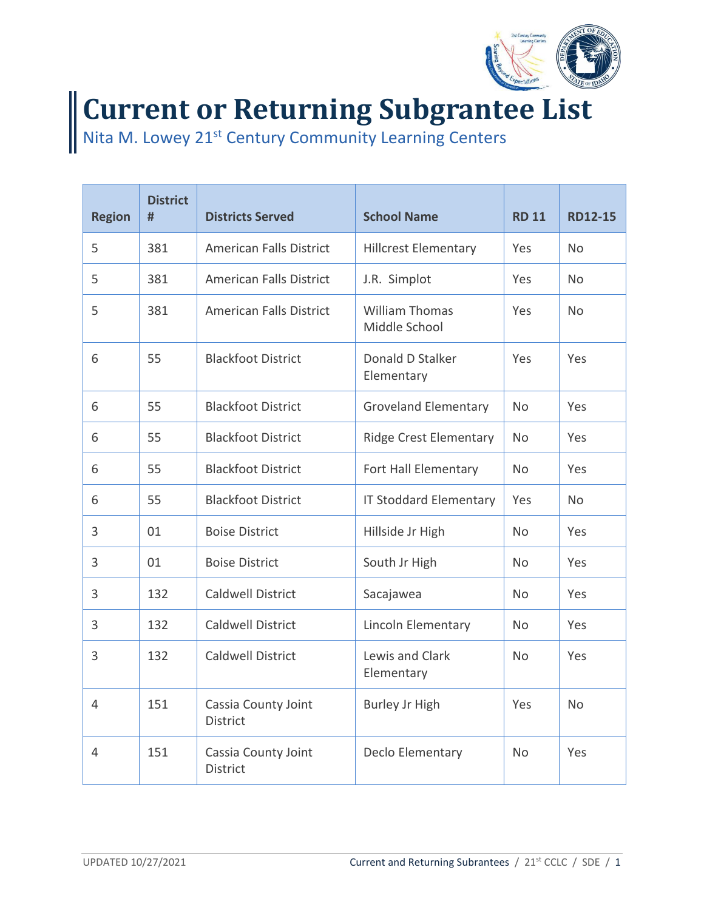

## **Current or Returning Subgrantee List**

Nita M. Lowey 21<sup>st</sup> Century Community Learning Centers

| <b>Region</b> | <b>District</b><br># | <b>Districts Served</b>                | <b>School Name</b>                     | <b>RD 11</b> | <b>RD12-15</b> |
|---------------|----------------------|----------------------------------------|----------------------------------------|--------------|----------------|
| 5             | 381                  | <b>American Falls District</b>         | <b>Hillcrest Elementary</b>            | Yes          | <b>No</b>      |
| 5             | 381                  | <b>American Falls District</b>         | J.R. Simplot                           | Yes          | N <sub>o</sub> |
| 5             | 381                  | <b>American Falls District</b>         | <b>William Thomas</b><br>Middle School | Yes          | <b>No</b>      |
| 6             | 55                   | <b>Blackfoot District</b>              | Donald D Stalker<br>Elementary         | Yes          | Yes            |
| 6             | 55                   | <b>Blackfoot District</b>              | <b>Groveland Elementary</b>            | <b>No</b>    | Yes            |
| 6             | 55                   | <b>Blackfoot District</b>              | <b>Ridge Crest Elementary</b>          | <b>No</b>    | Yes            |
| 6             | 55                   | <b>Blackfoot District</b>              | Fort Hall Elementary                   | <b>No</b>    | Yes            |
| 6             | 55                   | <b>Blackfoot District</b>              | <b>IT Stoddard Elementary</b>          | Yes          | <b>No</b>      |
| 3             | 01                   | <b>Boise District</b>                  | Hillside Jr High                       | No           | Yes            |
| 3             | 01                   | <b>Boise District</b>                  | South Jr High                          | <b>No</b>    | Yes            |
| 3             | 132                  | <b>Caldwell District</b>               | Sacajawea                              | <b>No</b>    | Yes            |
| 3             | 132                  | <b>Caldwell District</b>               | Lincoln Elementary                     | <b>No</b>    | Yes            |
| 3             | 132                  | <b>Caldwell District</b>               | Lewis and Clark<br>Elementary          | No           | Yes            |
| 4             | 151                  | Cassia County Joint<br><b>District</b> | <b>Burley Jr High</b>                  | Yes          | <b>No</b>      |
| 4             | 151                  | Cassia County Joint<br><b>District</b> | Declo Elementary                       | <b>No</b>    | Yes            |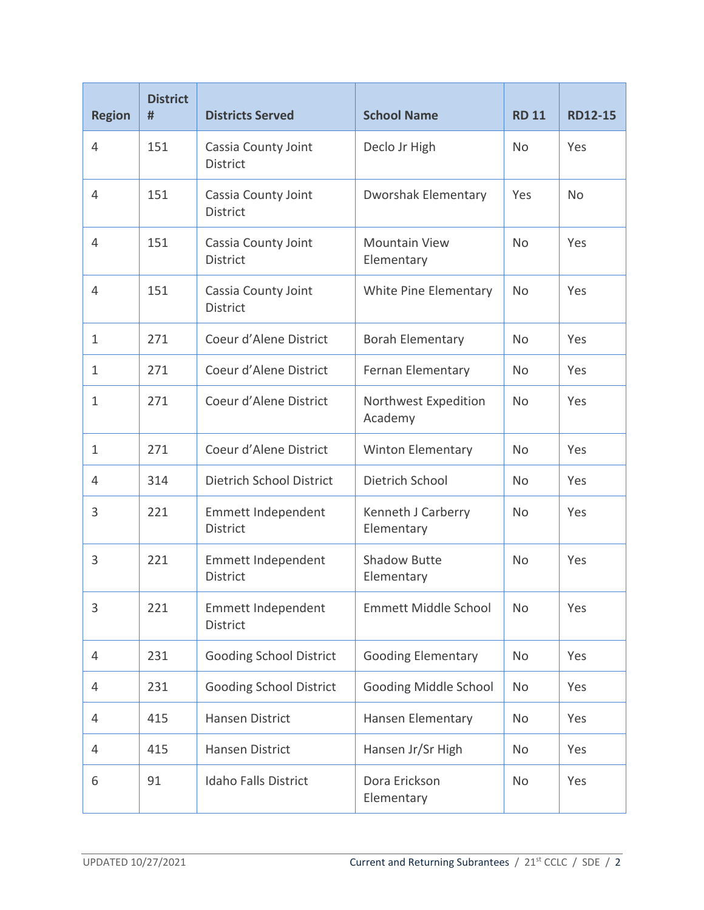| <b>Region</b> | <b>District</b><br># | <b>Districts Served</b>                | <b>School Name</b>                 | <b>RD 11</b> | <b>RD12-15</b> |
|---------------|----------------------|----------------------------------------|------------------------------------|--------------|----------------|
| 4             | 151                  | Cassia County Joint<br><b>District</b> | Declo Jr High                      | <b>No</b>    | Yes            |
| 4             | 151                  | Cassia County Joint<br><b>District</b> | <b>Dworshak Elementary</b>         | Yes          | <b>No</b>      |
| 4             | 151                  | Cassia County Joint<br><b>District</b> | <b>Mountain View</b><br>Elementary | <b>No</b>    | Yes            |
| 4             | 151                  | Cassia County Joint<br><b>District</b> | White Pine Elementary              | <b>No</b>    | Yes            |
| 1             | 271                  | Coeur d'Alene District                 | <b>Borah Elementary</b>            | <b>No</b>    | Yes            |
| 1             | 271                  | Coeur d'Alene District                 | Fernan Elementary                  | No           | Yes            |
| $\mathbf{1}$  | 271                  | Coeur d'Alene District                 | Northwest Expedition<br>Academy    | <b>No</b>    | Yes            |
| 1             | 271                  | Coeur d'Alene District                 | <b>Winton Elementary</b>           | <b>No</b>    | Yes            |
| 4             | 314                  | Dietrich School District               | Dietrich School                    | <b>No</b>    | Yes            |
| 3             | 221                  | Emmett Independent<br><b>District</b>  | Kenneth J Carberry<br>Elementary   | <b>No</b>    | Yes            |
| 3             | 221                  | Emmett Independent<br><b>District</b>  | <b>Shadow Butte</b><br>Elementary  | <b>No</b>    | Yes            |
| 3             | 221                  | Emmett Independent<br>District         | <b>Emmett Middle School</b>        | No           | Yes            |
| 4             | 231                  | <b>Gooding School District</b>         | <b>Gooding Elementary</b>          | No           | Yes            |
| 4             | 231                  | <b>Gooding School District</b>         | <b>Gooding Middle School</b>       | No           | Yes            |
| 4             | 415                  | Hansen District                        | Hansen Elementary                  | No           | Yes            |
| 4             | 415                  | Hansen District                        | Hansen Jr/Sr High                  | No           | Yes            |
| 6             | 91                   | <b>Idaho Falls District</b>            | Dora Erickson<br>Elementary        | No           | Yes            |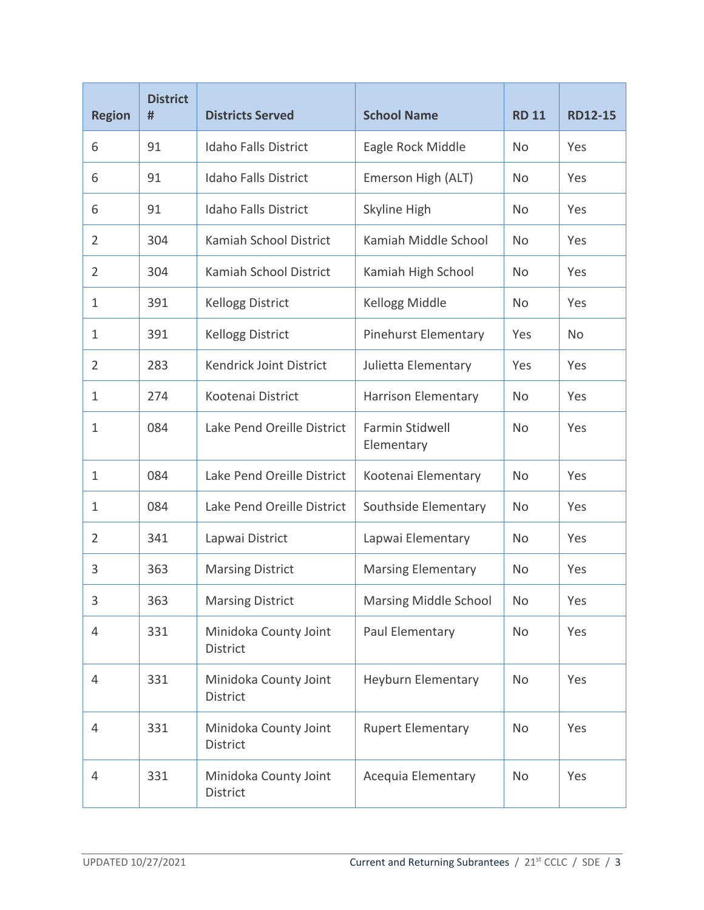| <b>Region</b>  | <b>District</b><br># | <b>Districts Served</b>                  | <b>School Name</b>            | <b>RD 11</b> | <b>RD12-15</b> |
|----------------|----------------------|------------------------------------------|-------------------------------|--------------|----------------|
| 6              | 91                   | <b>Idaho Falls District</b>              | Eagle Rock Middle             | No           | Yes            |
| 6              | 91                   | <b>Idaho Falls District</b>              | Emerson High (ALT)            | No           | Yes            |
| 6              | 91                   | <b>Idaho Falls District</b>              | Skyline High                  | No           | Yes            |
| 2              | 304                  | Kamiah School District                   | Kamiah Middle School          | No           | Yes            |
| 2              | 304                  | Kamiah School District                   | Kamiah High School            | No           | Yes            |
| 1              | 391                  | <b>Kellogg District</b>                  | Kellogg Middle                | No           | Yes            |
| 1              | 391                  | <b>Kellogg District</b>                  | <b>Pinehurst Elementary</b>   | Yes          | No             |
| $\overline{2}$ | 283                  | Kendrick Joint District                  | Julietta Elementary           | Yes          | Yes            |
| 1              | 274                  | Kootenai District                        | Harrison Elementary           | No           | Yes            |
| 1              | 084                  | Lake Pend Oreille District               | Farmin Stidwell<br>Elementary | No           | Yes            |
| 1              | 084                  | Lake Pend Oreille District               | Kootenai Elementary           | No           | Yes            |
| 1              | 084                  | Lake Pend Oreille District               | Southside Elementary          | No           | Yes            |
| 2              | 341                  | Lapwai District                          | Lapwai Elementary             | No           | Yes            |
| 3              | 363                  | <b>Marsing District</b>                  | <b>Marsing Elementary</b>     | No           | Yes            |
| 3              | 363                  | <b>Marsing District</b>                  | Marsing Middle School         | No           | Yes            |
| $\overline{4}$ | 331                  | Minidoka County Joint<br>District        | Paul Elementary               | No           | Yes            |
| $\overline{4}$ | 331                  | Minidoka County Joint<br><b>District</b> | Heyburn Elementary            | No           | Yes            |
| 4              | 331                  | Minidoka County Joint<br>District        | <b>Rupert Elementary</b>      | <b>No</b>    | Yes            |
| $\overline{4}$ | 331                  | Minidoka County Joint<br>District        | Acequia Elementary            | No           | Yes            |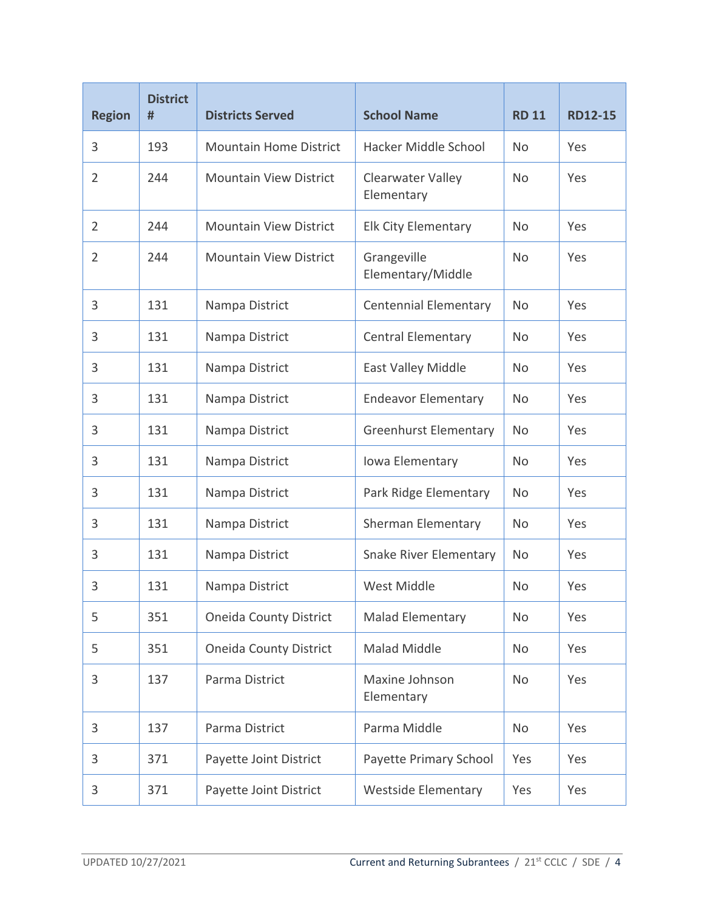| <b>Region</b>  | <b>District</b><br># | <b>Districts Served</b>       | <b>School Name</b>               | <b>RD 11</b> | <b>RD12-15</b> |
|----------------|----------------------|-------------------------------|----------------------------------|--------------|----------------|
| 3              | 193                  | <b>Mountain Home District</b> | Hacker Middle School             | No           | Yes            |
| 2              | 244                  | <b>Mountain View District</b> | Clearwater Valley<br>Elementary  | <b>No</b>    | Yes            |
| $\overline{2}$ | 244                  | <b>Mountain View District</b> | <b>Elk City Elementary</b>       | <b>No</b>    | Yes            |
| 2              | 244                  | <b>Mountain View District</b> | Grangeville<br>Elementary/Middle | No           | Yes            |
| 3              | 131                  | Nampa District                | <b>Centennial Elementary</b>     | No           | Yes            |
| 3              | 131                  | Nampa District                | <b>Central Elementary</b>        | <b>No</b>    | Yes            |
| 3              | 131                  | Nampa District                | East Valley Middle               | <b>No</b>    | Yes            |
| 3              | 131                  | Nampa District                | <b>Endeavor Elementary</b>       | <b>No</b>    | Yes            |
| 3              | 131                  | Nampa District                | <b>Greenhurst Elementary</b>     | No           | Yes            |
| 3              | 131                  | Nampa District                | Iowa Elementary                  | <b>No</b>    | Yes            |
| 3              | 131                  | Nampa District                | Park Ridge Elementary            | <b>No</b>    | Yes            |
| 3              | 131                  | Nampa District                | Sherman Elementary               | <b>No</b>    | Yes            |
| 3              | 131                  | Nampa District                | <b>Snake River Elementary</b>    | <b>No</b>    | Yes            |
| 3              | 131                  | Nampa District                | West Middle                      | <b>No</b>    | Yes            |
| 5              | 351                  | <b>Oneida County District</b> | <b>Malad Elementary</b>          | <b>No</b>    | Yes            |
| 5              | 351                  | <b>Oneida County District</b> | Malad Middle                     | <b>No</b>    | Yes            |
| 3              | 137                  | Parma District                | Maxine Johnson<br>Elementary     | <b>No</b>    | Yes            |
| 3              | 137                  | Parma District                | Parma Middle                     | <b>No</b>    | Yes            |
| 3              | 371                  | Payette Joint District        | Payette Primary School           | Yes          | Yes            |
| 3              | 371                  | Payette Joint District        | <b>Westside Elementary</b>       | Yes          | Yes            |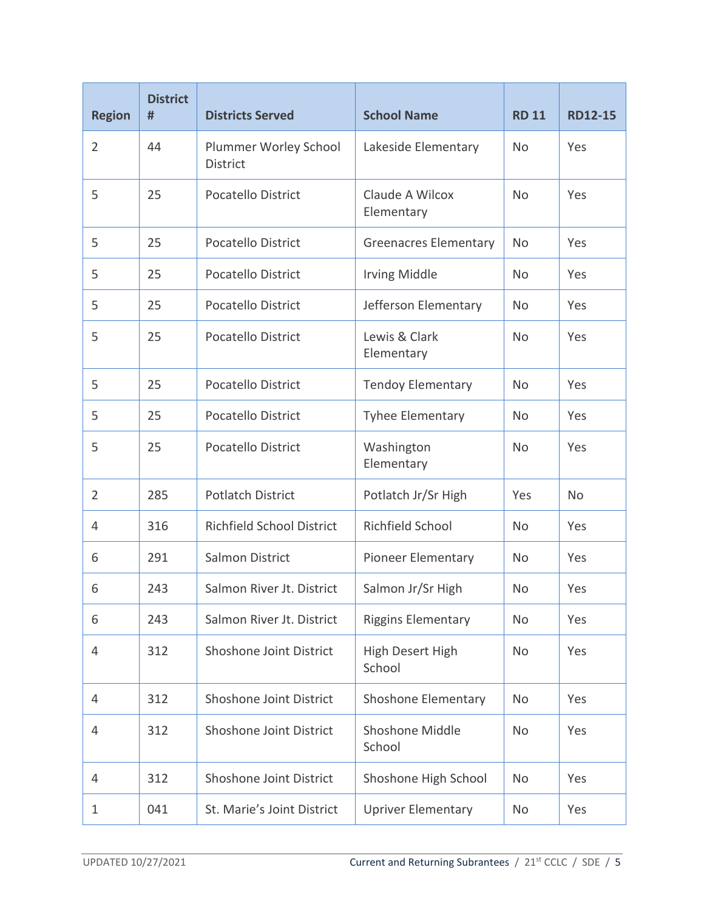| <b>Region</b>  | <b>District</b><br># | <b>Districts Served</b>                  | <b>School Name</b>            | <b>RD 11</b> | <b>RD12-15</b> |
|----------------|----------------------|------------------------------------------|-------------------------------|--------------|----------------|
| $\overline{2}$ | 44                   | Plummer Worley School<br><b>District</b> | Lakeside Elementary           | <b>No</b>    | Yes            |
| 5              | 25                   | <b>Pocatello District</b>                | Claude A Wilcox<br>Elementary | <b>No</b>    | Yes            |
| 5              | 25                   | Pocatello District                       | <b>Greenacres Elementary</b>  | No           | Yes            |
| 5              | 25                   | <b>Pocatello District</b>                | <b>Irving Middle</b>          | No           | Yes            |
| 5              | 25                   | <b>Pocatello District</b>                | Jefferson Elementary          | No           | Yes            |
| 5              | 25                   | <b>Pocatello District</b>                | Lewis & Clark<br>Elementary   | <b>No</b>    | Yes            |
| 5              | 25                   | <b>Pocatello District</b>                | <b>Tendoy Elementary</b>      | No           | Yes            |
| 5              | 25                   | <b>Pocatello District</b>                | <b>Tyhee Elementary</b>       | No           | Yes            |
| 5              | 25                   | <b>Pocatello District</b>                | Washington<br>Elementary      | <b>No</b>    | Yes            |
| $\overline{2}$ | 285                  | <b>Potlatch District</b>                 | Potlatch Jr/Sr High           | Yes          | <b>No</b>      |
| 4              | 316                  | <b>Richfield School District</b>         | Richfield School              | No           | Yes            |
| 6              | 291                  | Salmon District                          | Pioneer Elementary            | No           | Yes            |
| 6              | 243                  | Salmon River Jt. District                | Salmon Jr/Sr High             | No           | Yes            |
| 6              | 243                  | Salmon River Jt. District                | <b>Riggins Elementary</b>     | No           | Yes            |
| 4              | 312                  | Shoshone Joint District                  | High Desert High<br>School    | No           | Yes            |
| 4              | 312                  | Shoshone Joint District                  | Shoshone Elementary           | No           | Yes            |
| 4              | 312                  | Shoshone Joint District                  | Shoshone Middle<br>School     | No           | Yes            |
| 4              | 312                  | Shoshone Joint District                  | Shoshone High School          | No           | Yes            |
| 1              | 041                  | St. Marie's Joint District               | <b>Upriver Elementary</b>     | No           | Yes            |